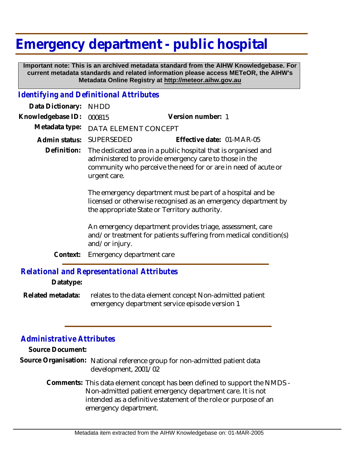## **Emergency department - public hospital**

 **Important note: This is an archived metadata standard from the AIHW Knowledgebase. For current metadata standards and related information please access METeOR, the AIHW's Metadata Online Registry at http://meteor.aihw.gov.au**

## *Identifying and Definitional Attributes*

| Data Dictionary:  | <b>NHDD</b>                                                                                                                                                                                               |                                                                                                                                |
|-------------------|-----------------------------------------------------------------------------------------------------------------------------------------------------------------------------------------------------------|--------------------------------------------------------------------------------------------------------------------------------|
| Knowledgebase ID: | 000815                                                                                                                                                                                                    | Version number: 1                                                                                                              |
| Metadata type:    | DATA ELEMENT CONCEPT                                                                                                                                                                                      |                                                                                                                                |
| Admin status:     | SUPERSEDED                                                                                                                                                                                                | Effective date: 01-MAR-05                                                                                                      |
| Definition:       | The dedicated area in a public hospital that is organised and<br>administered to provide emergency care to those in the<br>community who perceive the need for or are in need of acute or<br>urgent care. |                                                                                                                                |
|                   | the appropriate State or Territory authority.                                                                                                                                                             | The emergency department must be part of a hospital and be<br>licensed or otherwise recognised as an emergency department by   |
|                   | and/or injury.                                                                                                                                                                                            | An emergency department provides triage, assessment, care<br>and/or treatment for patients suffering from medical condition(s) |
| Context:          | Emergency department care                                                                                                                                                                                 |                                                                                                                                |
|                   | Relational and Representational Attributes                                                                                                                                                                |                                                                                                                                |

## *Relational and Representational Attributes*

**Datatype:**

relates to the data element concept Non-admitted patient emergency department service episode version 1 **Related metadata:**

## *Administrative Attributes*

**Source Document:**

Source Organisation: National reference group for non-admitted patient data development, 2001/02

> Comments: This data element concept has been defined to support the NMDS -Non-admitted patient emergency department care. It is not intended as a definitive statement of the role or purpose of an emergency department.